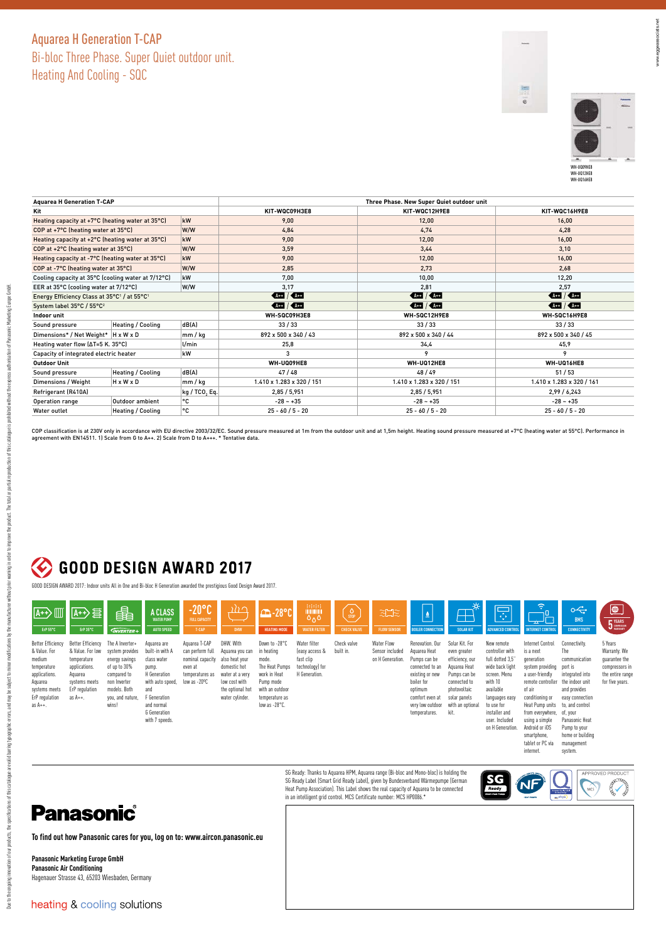## Aquarea H Generation T‑CAP Bi‑bloc Three Phase. Super Quiet outdoor unit. Heating And Cooling - SQC



www.eggeassociats.net

ww.eggeassociats.net

| <b>Aguarea H Generation T-CAP</b>                                   |                          |         | Three Phase. New Super Quiet outdoor unit                                                                                                                                                                                                                                                                           |                                                                                                                                                                                                                                                                                                                     |                           |  |  |  |  |
|---------------------------------------------------------------------|--------------------------|---------|---------------------------------------------------------------------------------------------------------------------------------------------------------------------------------------------------------------------------------------------------------------------------------------------------------------------|---------------------------------------------------------------------------------------------------------------------------------------------------------------------------------------------------------------------------------------------------------------------------------------------------------------------|---------------------------|--|--|--|--|
| Kit                                                                 |                          |         | KIT-WQC09H3E8                                                                                                                                                                                                                                                                                                       | KIT-WQC12H9E8                                                                                                                                                                                                                                                                                                       | KIT-WQC16H9E8             |  |  |  |  |
| kW<br>Heating capacity at +7°C (heating water at 35°C)              |                          |         | 9.00                                                                                                                                                                                                                                                                                                                | 12,00                                                                                                                                                                                                                                                                                                               | 16.00                     |  |  |  |  |
| W/W<br>COP at +7°C (heating water at 35°C)                          |                          |         | 4.84                                                                                                                                                                                                                                                                                                                | 4.74                                                                                                                                                                                                                                                                                                                | 4,28                      |  |  |  |  |
| kW<br>Heating capacity at +2°C (heating water at 35°C)              |                          |         | 9,00                                                                                                                                                                                                                                                                                                                | 12,00                                                                                                                                                                                                                                                                                                               | 16,00                     |  |  |  |  |
| W/W<br>COP at +2°C (heating water at 35°C)                          |                          |         | 3,59                                                                                                                                                                                                                                                                                                                | 3,44                                                                                                                                                                                                                                                                                                                | 3,10                      |  |  |  |  |
| Heating capacity at -7°C (heating water at 35°C)<br>kW              |                          |         | 9.00                                                                                                                                                                                                                                                                                                                | 12,00                                                                                                                                                                                                                                                                                                               | 16,00                     |  |  |  |  |
| W/W<br>COP at -7°C (heating water at 35°C)                          |                          |         | 2.85                                                                                                                                                                                                                                                                                                                | 2,73                                                                                                                                                                                                                                                                                                                | 2,68                      |  |  |  |  |
| Cooling capacity at 35°C (cooling water at 7/12°C)                  |                          | kW      | 7.00                                                                                                                                                                                                                                                                                                                | 10.00                                                                                                                                                                                                                                                                                                               | 12,20                     |  |  |  |  |
| W/W<br>EER at 35°C (cooling water at 7/12°C)                        |                          |         | 3,17                                                                                                                                                                                                                                                                                                                | 2,57                                                                                                                                                                                                                                                                                                                |                           |  |  |  |  |
| Energy Efficiency Class at 35°C <sup>1</sup> / at 55°C <sup>1</sup> |                          |         | $\frac{1}{2}$ $\frac{1}{2}$ $\frac{1}{2}$ $\frac{1}{2}$ $\frac{1}{2}$ $\frac{1}{2}$ $\frac{1}{2}$ $\frac{1}{2}$ $\frac{1}{2}$ $\frac{1}{2}$ $\frac{1}{2}$ $\frac{1}{2}$ $\frac{1}{2}$ $\frac{1}{2}$ $\frac{1}{2}$ $\frac{1}{2}$ $\frac{1}{2}$ $\frac{1}{2}$ $\frac{1}{2}$ $\frac{1}{2}$ $\frac{1}{2}$ $\frac{1}{2}$ | $\sqrt{2}$                                                                                                                                                                                                                                                                                                          |                           |  |  |  |  |
| System label 35°C / 55°C <sup>2</sup>                               |                          |         | $44 + 14 + 14 +$                                                                                                                                                                                                                                                                                                    | $\frac{1}{2}$ $\frac{1}{2}$ $\frac{1}{2}$ $\frac{1}{2}$ $\frac{1}{2}$ $\frac{1}{2}$ $\frac{1}{2}$ $\frac{1}{2}$ $\frac{1}{2}$ $\frac{1}{2}$ $\frac{1}{2}$ $\frac{1}{2}$ $\frac{1}{2}$ $\frac{1}{2}$ $\frac{1}{2}$ $\frac{1}{2}$ $\frac{1}{2}$ $\frac{1}{2}$ $\frac{1}{2}$ $\frac{1}{2}$ $\frac{1}{2}$ $\frac{1}{2}$ |                           |  |  |  |  |
| Indoor unit                                                         |                          |         | WH-SQC09H3E8                                                                                                                                                                                                                                                                                                        | WH-SQC12H9E8                                                                                                                                                                                                                                                                                                        | WH-SQC16H9E8              |  |  |  |  |
| Sound pressure                                                      | <b>Heating / Cooling</b> | dB(A)   | 33/33                                                                                                                                                                                                                                                                                                               | 33/33                                                                                                                                                                                                                                                                                                               | 33/33                     |  |  |  |  |
| Dimensions* / Net Weight*   H x W x D                               |                          | mm / kg | 892 x 500 x 340 / 43                                                                                                                                                                                                                                                                                                | 892 x 500 x 340 / 44                                                                                                                                                                                                                                                                                                | 892 x 500 x 340 / 45      |  |  |  |  |
| Heating water flow [ $\Delta T = 5$ K. 35°C]<br>$U$ min             |                          |         | 25,8                                                                                                                                                                                                                                                                                                                | 34,4                                                                                                                                                                                                                                                                                                                | 45,9                      |  |  |  |  |
| kW<br>Capacity of integrated electric heater                        |                          |         | 3                                                                                                                                                                                                                                                                                                                   | 9                                                                                                                                                                                                                                                                                                                   | 9                         |  |  |  |  |
| <b>Outdoor Unit</b>                                                 |                          |         | WH-UQ09HE8                                                                                                                                                                                                                                                                                                          | <b>WH-U012HE8</b>                                                                                                                                                                                                                                                                                                   | WH-UQ16HE8                |  |  |  |  |
| Sound pressure                                                      | <b>Heating / Cooling</b> | dB(A)   | 47/48                                                                                                                                                                                                                                                                                                               | 48/49                                                                                                                                                                                                                                                                                                               | 51/53                     |  |  |  |  |
| Dimensions / Weight                                                 | mm / kg<br>HxWxD         |         | 1.410 x 1.283 x 320 / 151                                                                                                                                                                                                                                                                                           | 1.410 x 1.283 x 320 / 151                                                                                                                                                                                                                                                                                           | 1.410 x 1.283 x 320 / 161 |  |  |  |  |
| kg / TCO, Eq.<br>Refrigerant (R410A)                                |                          |         | 2,85 / 5,951                                                                                                                                                                                                                                                                                                        | 2.85 / 5.951                                                                                                                                                                                                                                                                                                        | 2.99/6.243                |  |  |  |  |
| ۰c<br>Outdoor ambient<br>Operation range                            |                          |         | $-28 - +35$                                                                                                                                                                                                                                                                                                         | $-28 - +35$                                                                                                                                                                                                                                                                                                         | $-28 - +35$               |  |  |  |  |
| Water outlet                                                        | Heating / Cooling        | ۰c      | $25 - 60 / 5 - 20$                                                                                                                                                                                                                                                                                                  | $25 - 60 / 5 - 20$<br>$25 - 60 / 5 - 20$                                                                                                                                                                                                                                                                            |                           |  |  |  |  |

COP classification is at 230V only in accordance with EU directive 2003/32/EC. Sound pressure measured at 1m from the outdoor unit and at 1,5m height. Heating sound pressure measured at +7°C (heating water at 55°C). Perfor

## C GOOD DESIGN AWARD 2017

GOOD DESIGN AWARD 2017: Indoor units All in One and Bi‑bloc H Generation awarded the prestigious Good Design Award 2017.

| $\sqrt{A+}\rightarrow\sqrt{B}$<br>ErP 55°C                                                                                                     | 四分目<br>ErP 35°C                                                                                                                | 串<br><b>GNVERTER+</b>                                                                                                                            | A CLASS<br><b>WATER PUMP</b><br>AUTO SPEED                                                                                                                        | $-20^{\circ}$ C<br><b>FULL CAPACITY</b><br>T-CAP                                                    | <u>ר גוג</u><br><b>DHW</b>                                                                                                                | $-28°P$<br><b>HEATING MODE</b>                                                                                                                      | 非时时<br>                         <br>0 <sub>0</sub><br><b>WATER FILTER</b>       | $\frac{1}{100}$<br><b>CHECK VALVE</b> | <u>श्री</u> ट<br><b>FLOW SENSOR</b>              | $\overline{\mathbf{v}}$<br><b>BOILER CONNECTION</b>                                                                                                                    | $\mathbb{T}$<br><b>SOLAR KIT</b>                                                                                                                              | $\overline{\mathbb{R}}$<br><b>ADVANCED CONTROL</b>                                                                                                                                                 | ခု<br><b>INTERNET CONTROL</b>                                                                                                                                                                                                                                  | $\sim$<br><b>BMS</b><br><b>CONNECTIVITY</b>                                                                                                                                     | ⊜<br><b>5</b> YEARS                                                                               |
|------------------------------------------------------------------------------------------------------------------------------------------------|--------------------------------------------------------------------------------------------------------------------------------|--------------------------------------------------------------------------------------------------------------------------------------------------|-------------------------------------------------------------------------------------------------------------------------------------------------------------------|-----------------------------------------------------------------------------------------------------|-------------------------------------------------------------------------------------------------------------------------------------------|-----------------------------------------------------------------------------------------------------------------------------------------------------|---------------------------------------------------------------------------------|---------------------------------------|--------------------------------------------------|------------------------------------------------------------------------------------------------------------------------------------------------------------------------|---------------------------------------------------------------------------------------------------------------------------------------------------------------|----------------------------------------------------------------------------------------------------------------------------------------------------------------------------------------------------|----------------------------------------------------------------------------------------------------------------------------------------------------------------------------------------------------------------------------------------------------------------|---------------------------------------------------------------------------------------------------------------------------------------------------------------------------------|---------------------------------------------------------------------------------------------------|
| <b>Better Efficiency</b><br>& Value. For<br>medium<br>temperature<br>applications.<br>Aquarea<br>systems meets<br>ErP regulation<br>as $A++$ . | Better Efficiency<br>& Value. For low<br>temperature<br>applications.<br>Aquarea<br>systems meets<br>ErP regulation<br>as A++. | The A Inverter+<br>system provides<br>energy savings<br>of up to 30%<br>compared to<br>non Inverter<br>models, Both<br>you, and nature,<br>wins! | Aquarea are<br>built-in with A<br>class water<br>pump.<br>H Generation<br>with auto speed,<br>and<br>F Generation<br>and normal<br>G Generation<br>with 7 speeds. | Aquarea T-CAP<br>can perform full<br>nominal capacity<br>even at<br>temperatures as<br>low as -20°C | DHW. With<br>Aquarea you can<br>also heat your<br>domestic hot<br>water at a verv<br>low cost with<br>the optional hot<br>water cylinder. | Down to -28°C<br>in heating<br>mode.<br>The Heat Pumps<br>work in Heat<br>Pump mode<br>with an outdoor<br>temperature as<br>low as $-28^{\circ}$ C. | Water filter<br>(easy access &<br>fast clip<br>technology) for<br>H Generation. | Check valve<br>built in.              | Water Flow<br>Sensor included<br>on H Generation | Renovation, Our<br>Aquarea Heat<br>Pumps can be<br>connected to an<br>existing or new<br>boiler for<br>optimum<br>comfort even at<br>very low outdoor<br>temperatures. | Solar Kit, For<br>even greater<br>efficiency, our<br>Aquarea Heat<br>Pumps can be<br>connected to<br>photovoltaic<br>solar panels<br>with an optional<br>kit. | New remote<br>controller with<br>full dotted 3,5"<br>wide back light<br>screen. Menu<br>with 10<br>available<br>languages easy<br>to use for<br>installer and<br>user. Included<br>on H Generation | <b>Internet Control</b><br>is a next<br>qeneration<br>system providing<br>a user-friendly<br>remote controller<br>of air<br>conditioning or<br>Heat Pump units to, and control<br>from everywhere, of, your<br>using a simple<br>Android or iOS<br>smartphone. | Connectivity.<br>The<br>communication<br>port is<br>integrated into<br>the indoor unit<br>and provides<br>easy connection<br>Panasonic Heat<br>Pump to your<br>home or building | 5 Years<br>Warranty. We<br>guarantee the<br>compressors in<br>the entire range<br>for five years. |

SG Ready: Thanks to Aquarea HPM, Aquarea range (Bi-bloc and Mono-bloc) is holding the<br>SG Ready Label (Smart Grid Ready Label), given by Bundesverband Wärmepumpe (German<br>Heat Pump Association). This Label shows the real cap in an intelligent grid control. MCS Certificate number: MCS HP0086.\*



management system.

tablet or PC via internet.

# **Panasonic**

**To find out how Panasonic cares for you, log on to: www.aircon.panasonic.eu** 

**Panasonic Marketing Europe GmbH Panasonic Air Conditioning** Hagenauer Strasse 43, 65203 Wiesbaden, Germany

Due to the country, the specifications of this catalogue are additionally assumpt the more positions, and more the monothers in the that of the country in the catalogue is problement this catalogue is problement the specif

Due to be onling out our points, all along the stations are all band band and properly cause of the mormal of the mark town which are the index the mark of the product in the policies additional expects at the second inter

heating & cooling solutions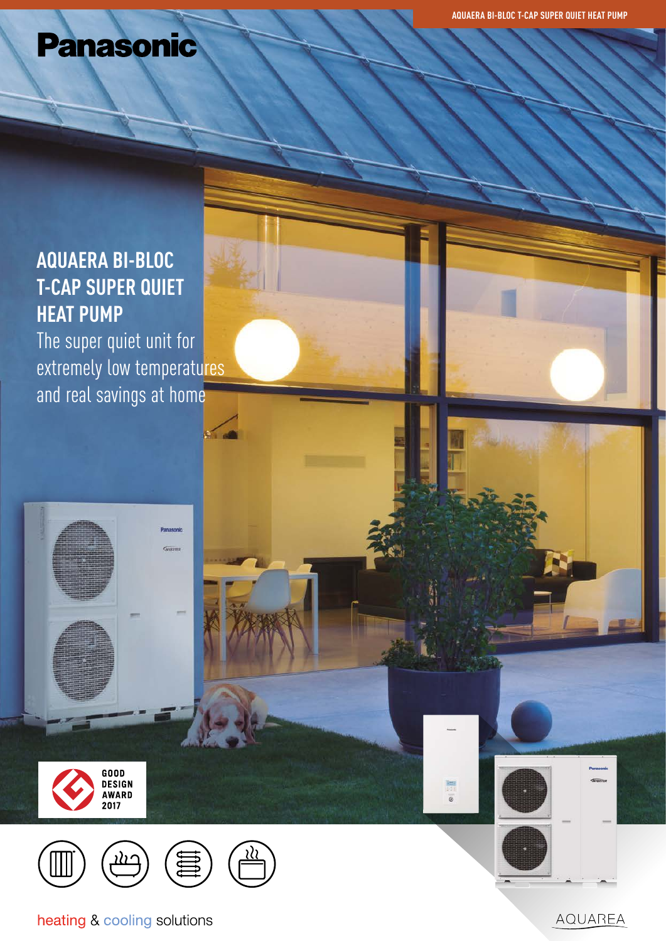# **Panasonic**

# **AQUAERA BI-BLOC T-CAP SUPER QUIET HEAT PUMP**

The super quiet unit for extremely low temperatures and real savings at home

 $\sim$ 



N.





heating & cooling solutions

AQUAREA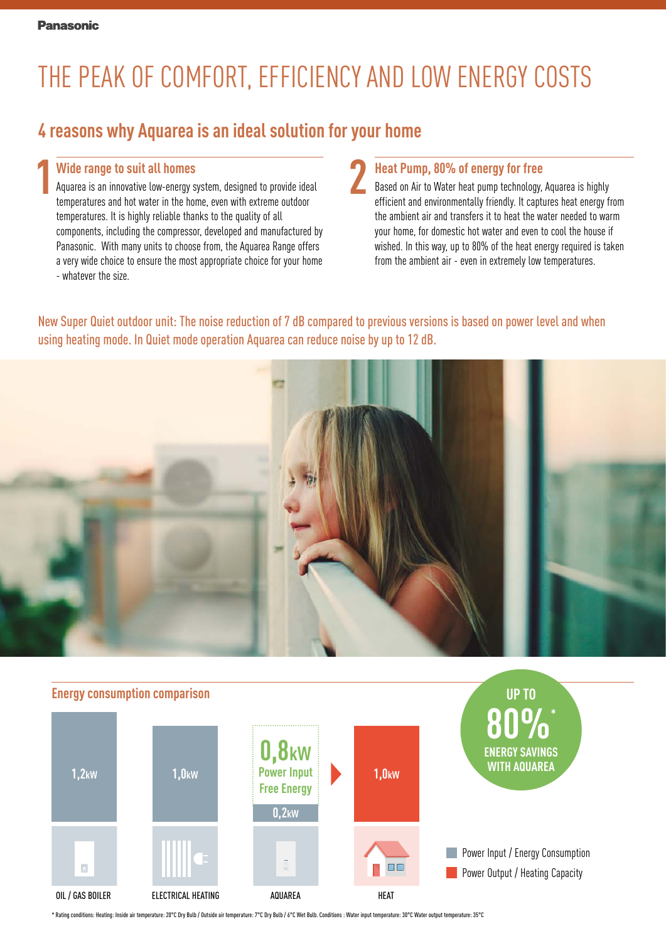# THE PEAK OF COMFORT, EFFICIENCY AND LOW ENERGY COSTS

## **4 reasons why Aquarea is an ideal solution for your home**

#### **Wide range to suit all homes**

**1 2** Aquarea is an innovative low-energy system, designed to provide ideal temperatures and hot water in the home, even with extreme outdoor temperatures. It is highly reliable thanks to the quality of all components, including the compressor, developed and manufactured by Panasonic. With many units to choose from, the Aquarea Range offers a very wide choice to ensure the most appropriate choice for your home - whatever the size.

#### **Heat Pump, 80% of energy for free**

Based on Air to Water heat pump technology, Aquarea is highly efficient and environmentally friendly. It captures heat energy from the ambient air and transfers it to heat the water needed to warm your home, for domestic hot water and even to cool the house if wished. In this way, up to 80% of the heat energy required is taken from the ambient air - even in extremely low temperatures.

New Super Quiet outdoor unit: The noise reduction of 7 dB compared to previous versions is based on power level and when using heating mode. In Quiet mode operation Aquarea can reduce noise by up to 12 dB.





\* Rating conditions: Heating: Inside air temperature: 20°C Dry Bulb / Outside air temperature: 7°C Dry Bulb / 6°C Wet Bulb. Conditions : Water input temperature: 30°C Water output temperature: 35°C